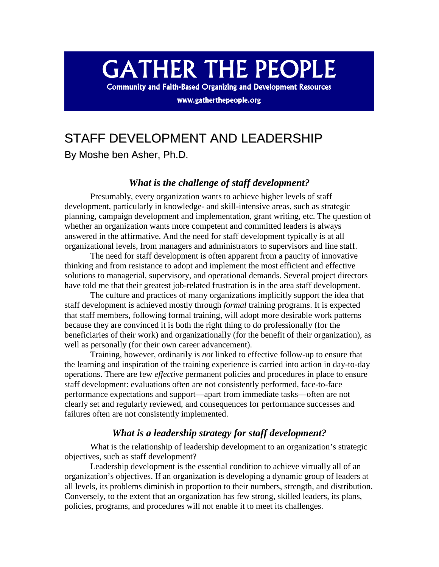# **GATHER THE PEOPLE**

**Community and Faith-Based Organizing and Development Resources** 

www.gatherthepeople.org

# STAFF DEVELOPMENT AND LEADERSHIP

By Moshe ben Asher, Ph.D.

#### *What is the challenge of staff development?*

Presumably, every organization wants to achieve higher levels of staff development, particularly in knowledge- and skill-intensive areas, such as strategic planning, campaign development and implementation, grant writing, etc. The question of whether an organization wants more competent and committed leaders is always answered in the affirmative. And the need for staff development typically is at all organizational levels, from managers and administrators to supervisors and line staff.

The need for staff development is often apparent from a paucity of innovative thinking and from resistance to adopt and implement the most efficient and effective solutions to managerial, supervisory, and operational demands. Several project directors have told me that their greatest job-related frustration is in the area staff development.

The culture and practices of many organizations implicitly support the idea that staff development is achieved mostly through *formal* training programs. It is expected that staff members, following formal training, will adopt more desirable work patterns because they are convinced it is both the right thing to do professionally (for the beneficiaries of their work) and organizationally (for the benefit of their organization), as well as personally (for their own career advancement).

Training, however, ordinarily is *not* linked to effective follow-up to ensure that the learning and inspiration of the training experience is carried into action in day-to-day operations. There are few *effective* permanent policies and procedures in place to ensure staff development: evaluations often are not consistently performed, face-to-face performance expectations and support—apart from immediate tasks—often are not clearly set and regularly reviewed, and consequences for performance successes and failures often are not consistently implemented.

#### *What is a leadership strategy for staff development?*

What is the relationship of leadership development to an organization's strategic objectives, such as staff development?

Leadership development is the essential condition to achieve virtually all of an organization's objectives. If an organization is developing a dynamic group of leaders at all levels, its problems diminish in proportion to their numbers, strength, and distribution. Conversely, to the extent that an organization has few strong, skilled leaders, its plans, policies, programs, and procedures will not enable it to meet its challenges.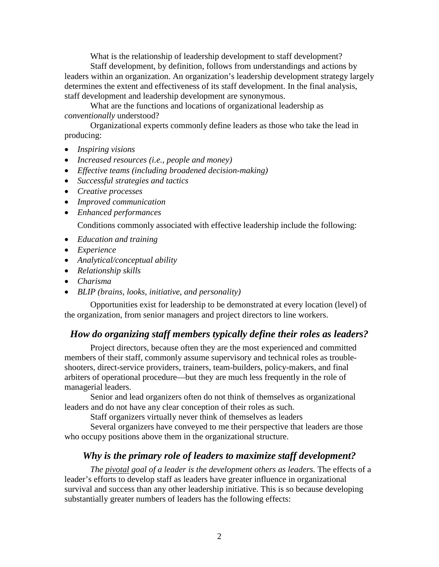What is the relationship of leadership development to staff development?

Staff development, by definition, follows from understandings and actions by leaders within an organization. An organization's leadership development strategy largely determines the extent and effectiveness of its staff development. In the final analysis, staff development and leadership development are synonymous.

What are the functions and locations of organizational leadership as *conventionally* understood?

Organizational experts commonly define leaders as those who take the lead in producing:

- *Inspiring visions*
- *Increased resources (i.e., people and money)*
- *Effective teams (including broadened decision-making)*
- *Successful strategies and tactics*
- *Creative processes*
- *Improved communication*
- *Enhanced performances*

Conditions commonly associated with effective leadership include the following:

- *Education and training*
- *Experience*
- *Analytical/conceptual ability*
- *Relationship skills*
- *Charisma*
- *BLIP (brains, looks, initiative, and personality)*

Opportunities exist for leadership to be demonstrated at every location (level) of the organization, from senior managers and project directors to line workers.

### *How do organizing staff members typically define their roles as leaders?*

Project directors, because often they are the most experienced and committed members of their staff, commonly assume supervisory and technical roles as troubleshooters, direct-service providers, trainers, team-builders, policy-makers, and final arbiters of operational procedure—but they are much less frequently in the role of managerial leaders.

Senior and lead organizers often do not think of themselves as organizational leaders and do not have any clear conception of their roles as such.

Staff organizers virtually never think of themselves as leaders

Several organizers have conveyed to me their perspective that leaders are those who occupy positions above them in the organizational structure.

### *Why is the primary role of leaders to maximize staff development?*

*The pivotal goal of a leader is the development others as leaders.* The effects of a leader's efforts to develop staff as leaders have greater influence in organizational survival and success than any other leadership initiative. This is so because developing substantially greater numbers of leaders has the following effects: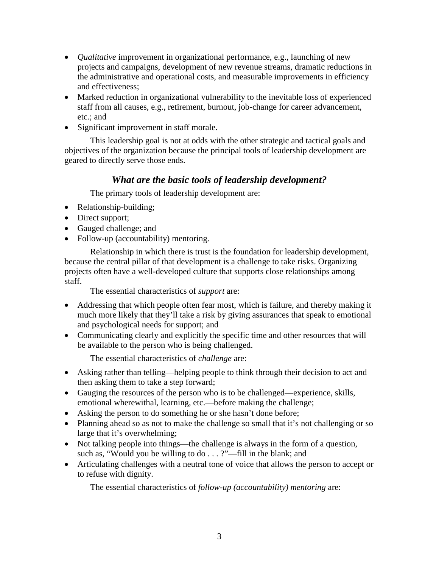- *Qualitative* improvement in organizational performance, e.g., launching of new projects and campaigns, development of new revenue streams, dramatic reductions in the administrative and operational costs, and measurable improvements in efficiency and effectiveness;
- Marked reduction in organizational vulnerability to the inevitable loss of experienced staff from all causes, e.g., retirement, burnout, job-change for career advancement, etc.; and
- Significant improvement in staff morale.

This leadership goal is not at odds with the other strategic and tactical goals and objectives of the organization because the principal tools of leadership development are geared to directly serve those ends.

### *What are the basic tools of leadership development?*

The primary tools of leadership development are:

- Relationship-building;
- Direct support;
- Gauged challenge; and
- Follow-up (accountability) mentoring.

Relationship in which there is trust is the foundation for leadership development, because the central pillar of that development is a challenge to take risks. Organizing projects often have a well-developed culture that supports close relationships among staff.

The essential characteristics of *support* are:

- Addressing that which people often fear most, which is failure, and thereby making it much more likely that they'll take a risk by giving assurances that speak to emotional and psychological needs for support; and
- Communicating clearly and explicitly the specific time and other resources that will be available to the person who is being challenged.

The essential characteristics of *challenge* are:

- Asking rather than telling—helping people to think through their decision to act and then asking them to take a step forward;
- Gauging the resources of the person who is to be challenged—experience, skills, emotional wherewithal, learning, etc.—before making the challenge;
- Asking the person to do something he or she hasn't done before;
- Planning ahead so as not to make the challenge so small that it's not challenging or so large that it's overwhelming;
- Not talking people into things—the challenge is always in the form of a question, such as, "Would you be willing to do . . . ?"—fill in the blank; and
- Articulating challenges with a neutral tone of voice that allows the person to accept or to refuse with dignity.

The essential characteristics of *follow-up (accountability) mentoring* are: